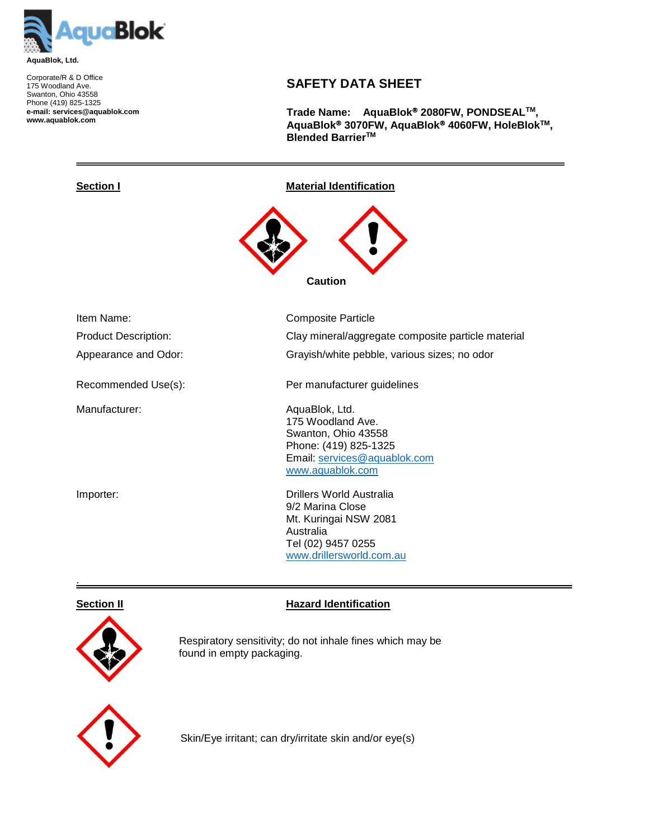

Corporate/R & D Office 175 Woodland Ave. Swanton, Ohio 43558 Phone (419) 825-1325 **e-mail: services@aquablok.com www.aquablok.com**

# **SAFETY DATA SHEET**

**Trade Name: AquaBlok 2080FW, PONDSEALTM, AquaBlok 3070FW, AquaBlok 4060FW, HoleBlokTM, Blended BarrierTM**

 **Caution**

**Section I Material Identification** 

| Item Name:<br><b>Product Description:</b><br>Appearance and Odor: | Composite Particle<br>Clay mineral/aggregate composite particle material<br>Grayish/white pebble, various sizes; no odor                |
|-------------------------------------------------------------------|-----------------------------------------------------------------------------------------------------------------------------------------|
| Recommended Use(s):                                               | Per manufacturer guidelines                                                                                                             |
| Manufacturer:                                                     | AquaBlok, Ltd.<br>175 Woodland Ave.<br>Swanton, Ohio 43558<br>Phone: (419) 825-1325<br>Email: services@aquablok.com<br>www.aquablok.com |
| Importer:                                                         | Drillers World Australia<br>9/2 Marina Close<br>Mt. Kuringai NSW 2081<br>Australia<br>Tel (02) 9457 0255<br>www.drillersworld.com.au    |

.



**Section II Hazard Identification** 

 Respiratory sensitivity; do not inhale fines which may be found in empty packaging.



Skin/Eye irritant; can dry/irritate skin and/or eye(s)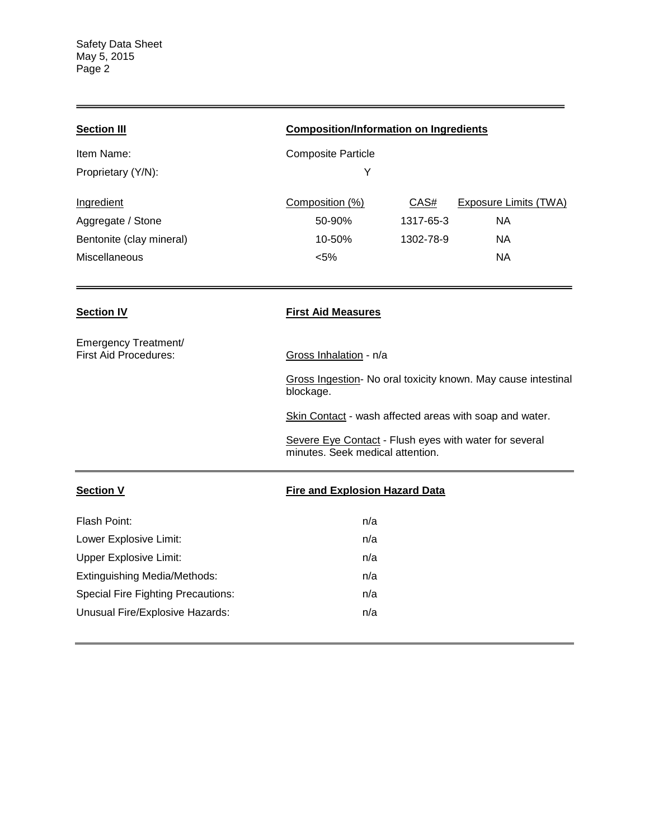| <b>Section III</b>                                   | <b>Composition/Information on Ingredients</b>                                              |           |                                                               |
|------------------------------------------------------|--------------------------------------------------------------------------------------------|-----------|---------------------------------------------------------------|
| Item Name:                                           | <b>Composite Particle</b>                                                                  |           |                                                               |
| Proprietary (Y/N):                                   | Υ                                                                                          |           |                                                               |
| Ingredient                                           | Composition (%)                                                                            | CAS#      | <b>Exposure Limits (TWA)</b>                                  |
| Aggregate / Stone                                    | 50-90%                                                                                     | 1317-65-3 | <b>NA</b>                                                     |
| Bentonite (clay mineral)                             | 10-50%                                                                                     | 1302-78-9 | <b>NA</b>                                                     |
| Miscellaneous                                        | < 5%                                                                                       |           | <b>NA</b>                                                     |
|                                                      |                                                                                            |           |                                                               |
| <b>Section IV</b>                                    | <b>First Aid Measures</b>                                                                  |           |                                                               |
| Emergency Treatment/<br><b>First Aid Procedures:</b> | Gross Inhalation - n/a                                                                     |           |                                                               |
|                                                      | blockage.                                                                                  |           | Gross Ingestion- No oral toxicity known. May cause intestinal |
|                                                      | Skin Contact - wash affected areas with soap and water.                                    |           |                                                               |
|                                                      | Severe Eye Contact - Flush eyes with water for several<br>minutes. Seek medical attention. |           |                                                               |
| <b>Section V</b>                                     | <b>Fire and Explosion Hazard Data</b>                                                      |           |                                                               |
| Flash Point:                                         | n/a                                                                                        |           |                                                               |
| Lower Explosive Limit:                               | n/a                                                                                        |           |                                                               |
| <b>Upper Explosive Limit:</b>                        | n/a                                                                                        |           |                                                               |
| <b>Extinguishing Media/Methods:</b>                  | n/a                                                                                        |           |                                                               |
| <b>Special Fire Fighting Precautions:</b>            | n/a                                                                                        |           |                                                               |
| Unusual Fire/Explosive Hazards:                      | n/a                                                                                        |           |                                                               |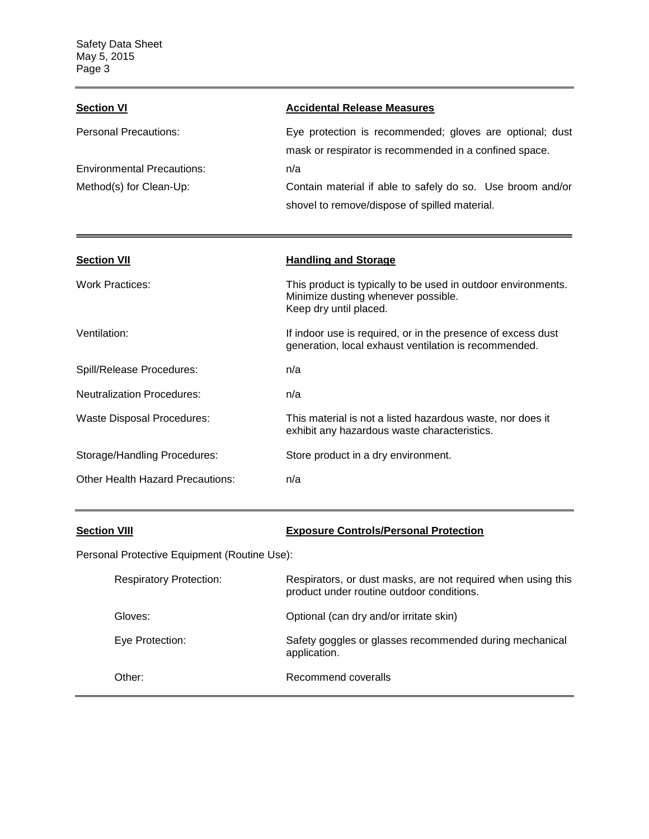| <b>Section VI</b>                 | <b>Accidental Release Measures</b>                                                                                 |
|-----------------------------------|--------------------------------------------------------------------------------------------------------------------|
| Personal Precautions:             | Eye protection is recommended; gloves are optional; dust<br>mask or respirator is recommended in a confined space. |
| <b>Environmental Precautions:</b> | n/a                                                                                                                |
| Method(s) for Clean-Up:           | Contain material if able to safely do so. Use broom and/or<br>shovel to remove/dispose of spilled material.        |

| <b>Section VII</b>                | <b>Handling and Storage</b>                                                                                                    |
|-----------------------------------|--------------------------------------------------------------------------------------------------------------------------------|
| <b>Work Practices:</b>            | This product is typically to be used in outdoor environments.<br>Minimize dusting whenever possible.<br>Keep dry until placed. |
| Ventilation:                      | If indoor use is required, or in the presence of excess dust<br>generation, local exhaust ventilation is recommended.          |
| Spill/Release Procedures:         | n/a                                                                                                                            |
| <b>Neutralization Procedures:</b> | n/a                                                                                                                            |
| <b>Waste Disposal Procedures:</b> | This material is not a listed hazardous waste, nor does it<br>exhibit any hazardous waste characteristics.                     |
| Storage/Handling Procedures:      | Store product in a dry environment.                                                                                            |
| Other Health Hazard Precautions:  | n/a                                                                                                                            |

# **Section VIII Exposure Controls/Personal Protection**

Personal Protective Equipment (Routine Use):

| <b>Respiratory Protection:</b> | Respirators, or dust masks, are not required when using this<br>product under routine outdoor conditions. |
|--------------------------------|-----------------------------------------------------------------------------------------------------------|
| Gloves:                        | Optional (can dry and/or irritate skin)                                                                   |
| Eye Protection:                | Safety goggles or glasses recommended during mechanical<br>application.                                   |
| Other:                         | Recommend coveralls                                                                                       |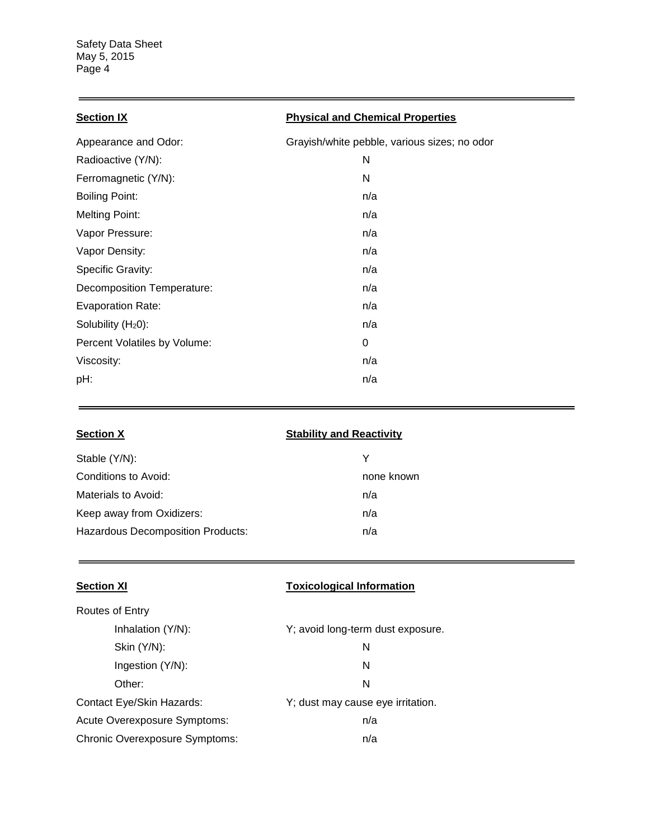$\equiv$ 

and the control of the control of

| Appearance and Odor:         | Grayish/white pebble, various sizes; no odor |
|------------------------------|----------------------------------------------|
| Radioactive (Y/N):           | N                                            |
| Ferromagnetic (Y/N):         | N                                            |
| <b>Boiling Point:</b>        | n/a                                          |
| <b>Melting Point:</b>        | n/a                                          |
| Vapor Pressure:              | n/a                                          |
| Vapor Density:               | n/a                                          |
| <b>Specific Gravity:</b>     | n/a                                          |
| Decomposition Temperature:   | n/a                                          |
| Evaporation Rate:            | n/a                                          |
| Solubility $(H20)$ :         | n/a                                          |
| Percent Volatiles by Volume: | 0                                            |
| Viscosity:                   | n/a                                          |
| pH:                          | n/a                                          |

| <b>Section X</b>                         | <b>Stability and Reactivity</b> |
|------------------------------------------|---------------------------------|
| Stable (Y/N):                            | Y                               |
| Conditions to Avoid:                     | none known                      |
| Materials to Avoid:                      | n/a                             |
| Keep away from Oxidizers:                | n/a                             |
| <b>Hazardous Decomposition Products:</b> | n/a                             |

| <b>Section XI</b>                     | <b>Toxicological Information</b>  |
|---------------------------------------|-----------------------------------|
| Routes of Entry                       |                                   |
| Inhalation (Y/N):                     | Y; avoid long-term dust exposure. |
| Skin (Y/N):                           | N                                 |
| Ingestion (Y/N):                      | N                                 |
| Other:                                | N                                 |
| Contact Eye/Skin Hazards:             | Y; dust may cause eye irritation. |
| Acute Overexposure Symptoms:          | n/a                               |
| <b>Chronic Overexposure Symptoms:</b> | n/a                               |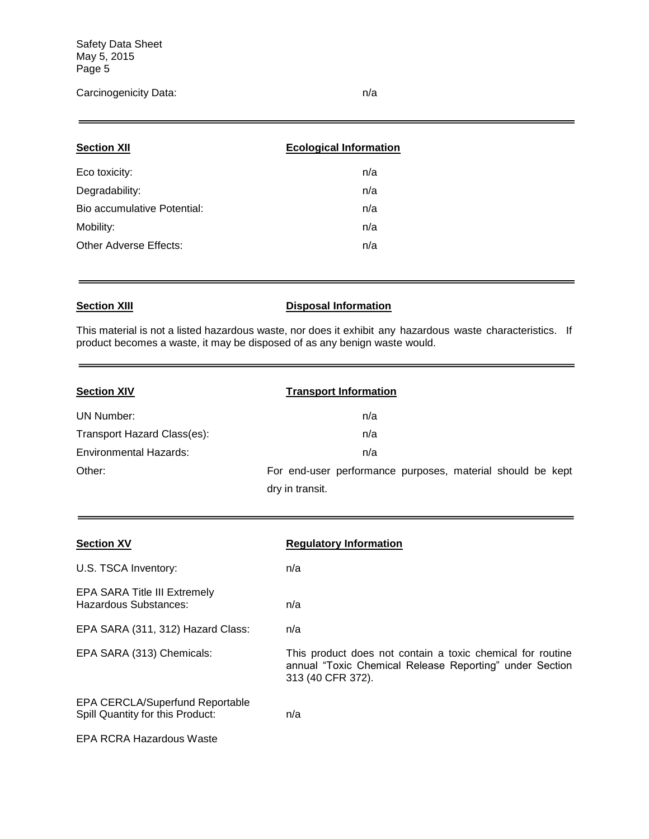## Carcinogenicity Data: n/a

| <b>Section XII</b>          | <b>Ecological Information</b> |
|-----------------------------|-------------------------------|
| Eco toxicity:               | n/a                           |
| Degradability:              | n/a                           |
| Bio accumulative Potential: | n/a                           |
| Mobility:                   | n/a                           |
| Other Adverse Effects:      | n/a                           |
|                             |                               |

## **Section XIII Disposal Information**

This material is not a listed hazardous waste, nor does it exhibit any hazardous waste characteristics. If product becomes a waste, it may be disposed of as any benign waste would.

| <b>Section XIV</b>          | <b>Transport Information</b>                               |
|-----------------------------|------------------------------------------------------------|
| UN Number:                  | n/a                                                        |
| Transport Hazard Class(es): | n/a                                                        |
| Environmental Hazards:      | n/a                                                        |
| Other:                      | For end-user performance purposes, material should be kept |
|                             | dry in transit.                                            |

| <b>Section XV</b>                                                          | <b>Regulatory Information</b>                                                                                                              |
|----------------------------------------------------------------------------|--------------------------------------------------------------------------------------------------------------------------------------------|
| U.S. TSCA Inventory:                                                       | n/a                                                                                                                                        |
| <b>EPA SARA Title III Extremely</b><br>Hazardous Substances:               | n/a                                                                                                                                        |
| EPA SARA (311, 312) Hazard Class:                                          | n/a                                                                                                                                        |
| EPA SARA (313) Chemicals:                                                  | This product does not contain a toxic chemical for routine<br>annual "Toxic Chemical Release Reporting" under Section<br>313 (40 CFR 372). |
| <b>EPA CERCLA/Superfund Reportable</b><br>Spill Quantity for this Product: | n/a                                                                                                                                        |
| EPA RCRA Hazardous Waste                                                   |                                                                                                                                            |